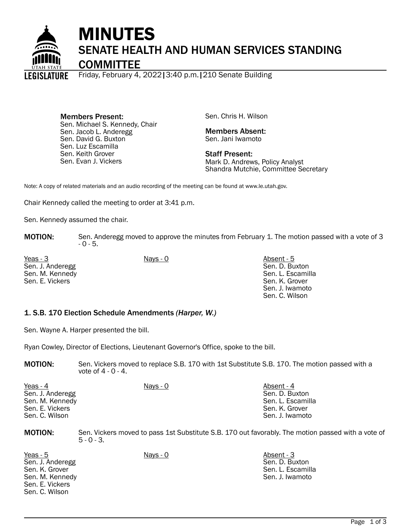

Friday, February 4, 2022|3:40 p.m.|210 Senate Building ISLATIIRE

Members Present: Sen. Michael S. Kennedy, Chair Sen. Jacob L. Anderegg Sen. David G. Buxton Sen. Luz Escamilla Sen. Keith Grover Sen. Evan J. Vickers

Sen. Chris H. Wilson

Members Absent: Sen. Jani Iwamoto

Staff Present: Mark D. Andrews, Policy Analyst Shandra Mutchie, Committee Secretary

Note: A copy of related materials and an audio recording of the meeting can be found at www.le.utah.gov.

Chair Kennedy called the meeting to order at 3:41 p.m.

Sen. Kennedy assumed the chair.

**MOTION:** Sen. Anderegg moved to approve the minutes from February 1. The motion passed with a vote of 3 - 0 - 5.

Yeas - 3 Nays - 0 Absent - 5 Sen. J. Anderegg Sen. M. Kennedy Sen. E. Vickers

Sen. D. Buxton Sen. L. Escamilla Sen. K. Grover Sen. J. Iwamoto Sen. C. Wilson

#### 1. S.B. 170 Election Schedule Amendments *(Harper, W.)*

Sen. Wayne A. Harper presented the bill.

Ryan Cowley, Director of Elections, Lieutenant Governor's Office, spoke to the bill.

**MOTION:** Sen. Vickers moved to replace S.B. 170 with 1st Substitute S.B. 170. The motion passed with a vote of 4 - 0 - 4.

| Yeas - 4         | Nays - 0 | Absent - 4        |
|------------------|----------|-------------------|
| Sen. J. Anderegg |          | Sen. D. Buxton    |
| Sen. M. Kennedy  |          | Sen. L. Escamilla |
| Sen. E. Vickers  |          | Sen. K. Grover    |
| Sen. C. Wilson   |          | Sen. J. Iwamoto   |

MOTION: Sen. Vickers moved to pass 1st Substitute S.B. 170 out favorably. The motion passed with a vote of  $5 - 0 - 3$ .

Yeas - 5 Nays - 0 Nays - 0 Absent - 3 Sen. J. Anderegg Sen. K. Grover Sen. M. Kennedy Sen. E. Vickers Sen. C. Wilson

Sen. D. Buxton Sen. L. Escamilla Sen. J. Iwamoto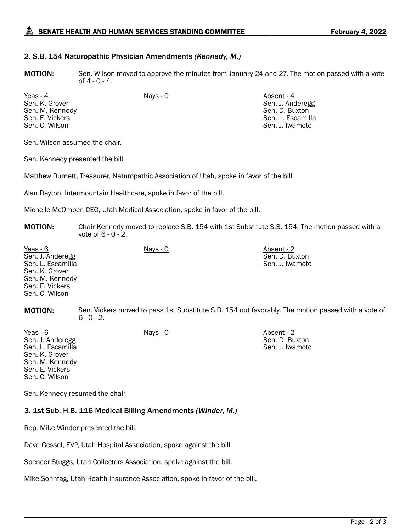# SENATE HEALTH AND HUMAN SERVICES STANDING COMMITTEE February 4, 2022

## 2. S.B. 154 Naturopathic Physician Amendments *(Kennedy, M.)*

**MOTION:** Sen. Wilson moved to approve the minutes from January 24 and 27. The motion passed with a vote of 4 - 0 - 4.

Yeas - 4 Absent - 4 Nays - 0 Absent - 4 Absent - 4 Sen. K. Grover Sen. M. Kennedy Sen. E. Vickers Sen. C. Wilson

Sen. J. Anderegg Sen. D. Buxton Sen. L. Escamilla Sen. J. Iwamoto

Sen. D. Buxton Sen. J. Iwamoto

Sen. Wilson assumed the chair.

Sen. Kennedy presented the bill.

Matthew Burnett, Treasurer, Naturopathic Association of Utah, spoke in favor of the bill.

Alan Dayton, Intermountain Healthcare, spoke in favor of the bill.

Michelle McOmber, CEO, Utah Medical Association, spoke in favor of the bill.

MOTION: Chair Kennedy moved to replace S.B. 154 with 1st Substitute S.B. 154. The motion passed with a vote of 6 - 0 - 2.

Yeas - 6 Nays - 0 Absent - 2 Sen. J. Anderegg Sen. L. Escamilla Sen. K. Grover Sen. M. Kennedy Sen. E. Vickers Sen. C. Wilson Sen. D. Buxton Sen. J. Iwamoto

**MOTION:** Sen. Vickers moved to pass 1st Substitute S.B. 154 out favorably. The motion passed with a vote of  $6 - 0 - 2$ .

<u>Yeas - 6</u> Nays - 0 Nays - 0 Nays - 0 Absent - 2 Sen. J. Anderegg Sen. L. Escamilla Sen. K. Grover Sen. M. Kennedy Sen. E. Vickers Sen. C. Wilson

Sen. Kennedy resumed the chair.

## 3. 1st Sub. H.B. 116 Medical Billing Amendments *(Winder, M.)*

Rep. Mike Winder presented the bill.

Dave Gessel, EVP, Utah Hospital Association, spoke against the bill.

Spencer Stuggs, Utah Collectors Association, spoke against the bill.

Mike Sonntag, Utah Health Insurance Association, spoke in favor of the bill.